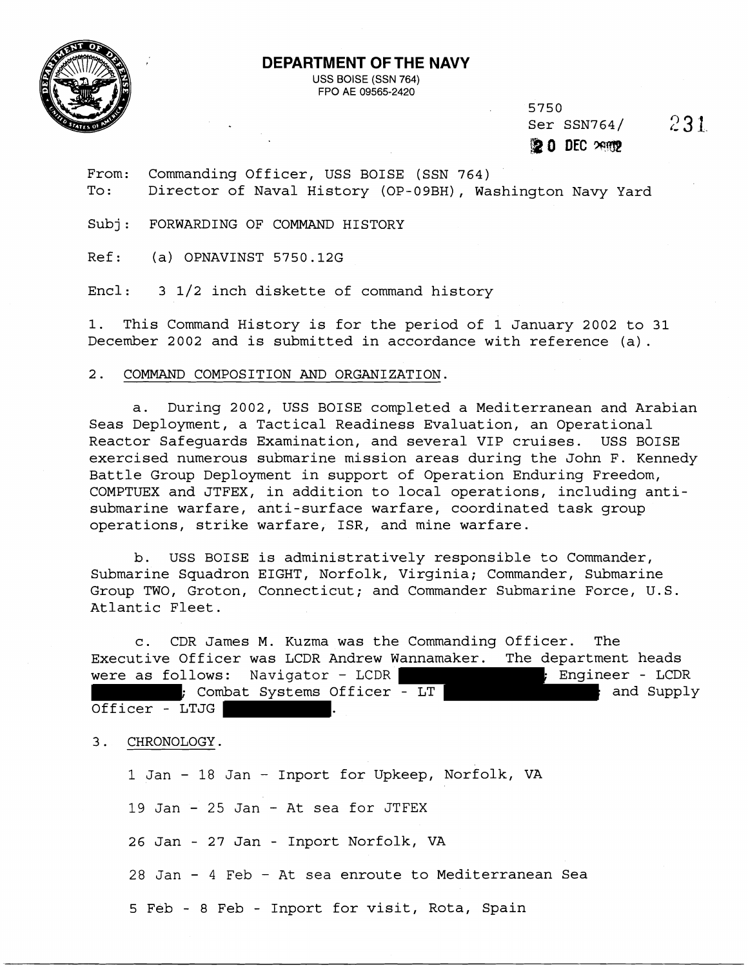

## **DEPARTMENT OF THE NAVY**

USS BOISE (SSN 764) FPO AE 09565-2420

> 5750 Ser SSN764/ 231

@ **O** DEC **We** 

From: Commanding Officer, USS BOISE (SSN 764) To: Director of Naval History (OP-09BH), Washington Navy Yard

Subj: FORWARDING OF COMMAND HISTORY

Ref: (a) OPNAVINST 5750.12G

Encl: 3 1/2 inch diskette of command history

1. This Command History is for the period of 1 January 2002 to 31 December 2002 and is submitted in accordance with reference (a).

## $2.$ COMMAND COMPOSITION AND ORGANIZATION.

a. During 2002, USS BOISE completed a Mediterranean and Arabian Seas Deployment, a Tactical Readiness Evaluation, an Operational Reactor Safeguards Examination, and several VIP cruises. USS BOISE exercised numerous submarine mission areas during the John F. Kennedy Battle Group Deployment in support of Operation Enduring Freedom, COMPTUEX and JTFEX, in addition to local operations, including antisubmarine warfare, anti-surface warfare, coordinated task group operations, strike warfare, ISR, and mine warfare.

b. USS BOISE is administratively responsible to Commander, Submarine Squadron EIGHT, Norfolk, Virginia; Commander, Submarine Group TWO, Groton, Connecticut; and Commander Submarine Force, U.S. Atlantic Fleet.

c. CDR James M. Kuzma was the Commanding Officer. The Executive Officer was LCDR Andrew Wannamaker. The department heads were as follows: Navigator - LCDR (and the sensingle proportional proportional control of the sensing proportio ; Combat Systems Officer - LT  $\qquad \qquad ;$  and Supply Officer - LTJG |

3. CHRONOLOGY.

1 Jan - 18 Jan - Inport for Upkeep, Norfolk, VA

19 Jan - 25 Jan - At sea for JTFEX

26 Jan - 27 Jan - Inport Norfolk, VA

28 Jan - 4 Feb - At sea enroute to Mediterranean Sea

5 Feb - 8 Feb - Inport for visit, Rota, Spain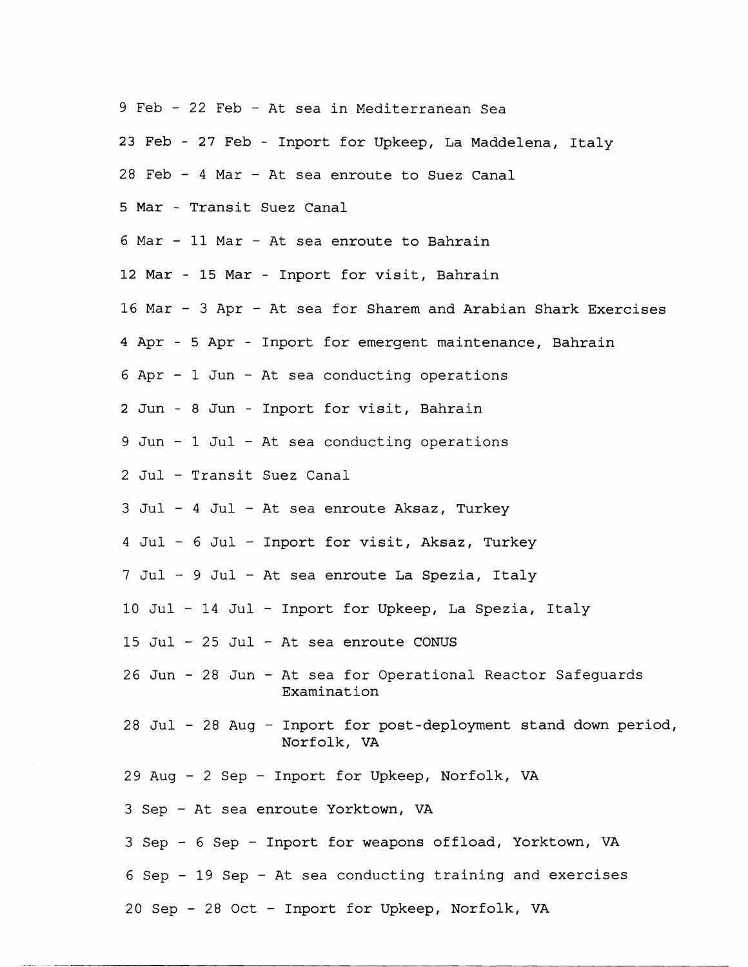- 9 Feb 22 Feb At sea in Mediterranean Sea
- **23** Feb **27** Feb Inport for Upkeep, La Maddelena, Italy
- 28 Feb 4 Mar At sea enroute to Suez Canal
- 5 Mar Transit Suez Canal
- 6 Mar 11 Mar At sea enroute to Bahrain
- **12** Mar **15** Mar Inport for visit, Bahrain
- 16 Mar 3 Apr At sea for Sharem and Arabian Shark Exercises
- 4 Apr 5 Apr Inport for emergent maintenance, Bahrain
- 6 Apr 1 Jun At sea conducting operations
- 2 Jun 8 Jun Inport for visit, Bahrain
- 9 Jun 1 Jul At sea conducting operations
- 2 Jul Transit Suez Canal
- 3 Jul 4 Jul At sea enroute Aksaz, Turkey
- 4 Jul 6 Jul Inport for visit, Aksaz, Turkey
- 7 Jul 9 Jul At sea enroute La Spezia, Italy
- 10 Jul 14 Jul Inport for Upkeep, La Spezia, Italy
- 15 Jul 25 Jul At sea enroute CONUS
- 26 Jun 28 Jun At sea for Operational Reactor Safeguards Examination
- 28 Jul 28 Aug Inport for post-deployment stand down period, Norfolk, VA
- 29 Aug 2 Sep Inport for Upkeep, Norfolk, VA
- 3 Sep At sea enroute Yorktown, VA
- 3 Sep 6 Sep Inport for weapons offload, Yorktown, VA
- 6 Sep 19 Sep At sea conducting training and exercises
- 20 Sep 28 Oct Inport for Upkeep, Norfolk, VA